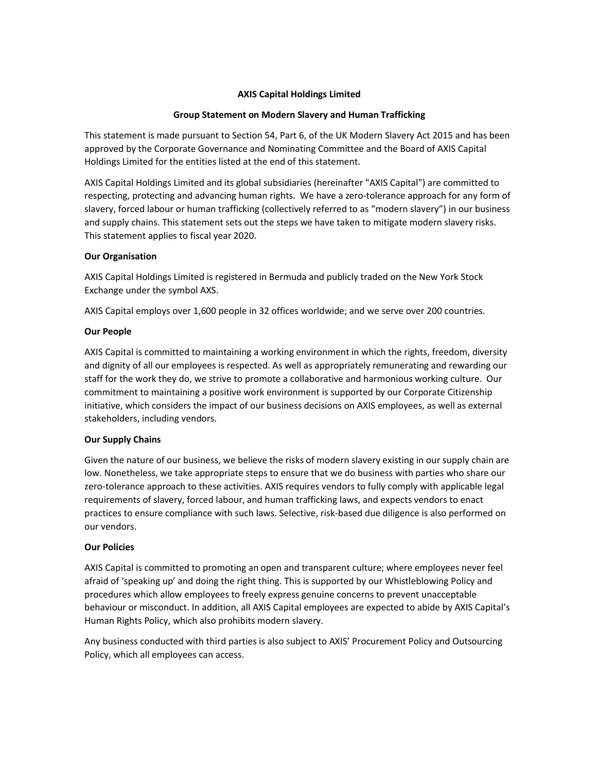### **AXIS Capital Holdings Limited**

#### **Group Statement on Modern Slavery and Human Trafficking**

This statement is made pursuant to Section 54, Part 6, of the UK Modern Slavery Act 2015 and has been approved by the Corporate Governance and Nominating Committee and the Board of AXIS Capital Holdings Limited for the entities listed at the end of this statement.

AXIS Capital Holdings Limited and its global subsidiaries (hereinafter "AXIS Capital") are committed to respecting, protecting and advancing human rights. We have a zero-tolerance approach for any form of slavery, forced labour or human trafficking (collectively referred to as "modern slavery") in our business and supply chains. This statement sets out the steps we have taken to mitigate modern slavery risks. This statement applies to fiscal year 2020.

# **Our Organisation**

AXIS Capital Holdings Limited is registered in Bermuda and publicly traded on the New York Stock Exchange under the symbol AXS.

AXIS Capital employs over 1,600 people in 32 offices worldwide; and we serve over 200 countries.

# **Our People**

AXIS Capital is committed to maintaining a working environment in which the rights, freedom, diversity and dignity of all our employees is respected. As well as appropriately remunerating and rewarding our staff for the work they do, we strive to promote a collaborative and harmonious working culture. Our commitment to maintaining a positive work environment is supported by our Corporate Citizenship initiative, which considers the impact of our business decisions on AXIS employees, as well as external stakeholders, including vendors.

# **Our Supply Chains**

Given the nature of our business, we believe the risks of modern slavery existing in our supply chain are low. Nonetheless, we take appropriate steps to ensure that we do business with parties who share our zero-tolerance approach to these activities. AXIS requires vendors to fully comply with applicable legal requirements of slavery, forced labour, and human trafficking laws, and expects vendors to enact practices to ensure compliance with such laws. Selective, risk-based due diligence is also performed on our vendors.

#### **Our Policies**

AXIS Capital is committed to promoting an open and transparent culture; where employees never feel afraid of 'speaking up' and doing the right thing. This is supported by our Whistleblowing Policy and procedures which allow employees to freely express genuine concerns to prevent unacceptable behaviour or misconduct. In addition, all AXIS Capital employees are expected to abide by AXIS Capital's Human Rights Policy, which also prohibits modern slavery.

Any business conducted with third parties is also subject to AXIS' Procurement Policy and Outsourcing Policy, which all employees can access.